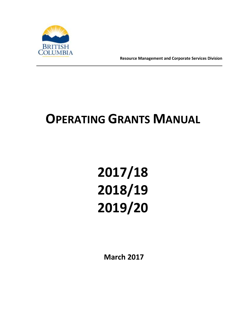

**Resource Management and Corporate Services Division**

# **OPERATING GRANTS MANUAL**

# **2017/18 2018/19 2019/20**

**March 2017**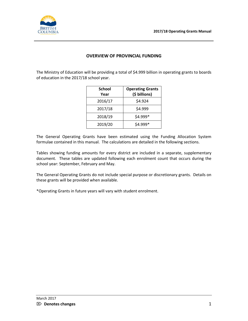

# **OVERVIEW OF PROVINCIAL FUNDING**

The Ministry of Education will be providing a total of \$4.999 billion in operating grants to boards of education in the 2017/18 school year.

| <b>School</b><br>Year | <b>Operating Grants</b><br>(\$ billions) |
|-----------------------|------------------------------------------|
| 2016/17               | \$4.924                                  |
| 2017/18               | \$4.999                                  |
| 2018/19               | \$4.999*                                 |
| 2019/20               | \$4.999*                                 |

The General Operating Grants have been estimated using the Funding Allocation System formulae contained in this manual. The calculations are detailed in the following sections.

Tables showing funding amounts for every district are included in a separate, supplementary document. These tables are updated following each enrolment count that occurs during the school year: September, February and May.

The General Operating Grants do not include special purpose or discretionary grants. Details on these grants will be provided when available.

\*Operating Grants in future years will vary with student enrolment.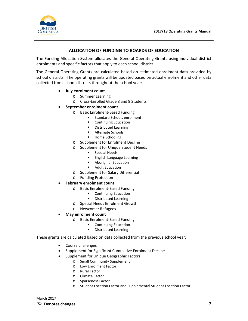

#### **ALLOCATION OF FUNDING TO BOARDS OF EDUCATION**

The Funding Allocation System allocates the General Operating Grants using individual district enrolments and specific factors that apply to each school district.

The General Operating Grants are calculated based on estimated enrolment data provided by school districts. The operating grants will be updated based on actual enrolment and other data collected from school districts throughout the school year:

- **July enrolment count**
	- o Summer Learning
	- o Cross-Enrolled Grade 8 and 9 Students
- **September enrolment count**
	- o Basic Enrolment-Based Funding
		- **Standard Schools enrolment**
		- **•** Continuing Education
		- **•** Distributed Learning
		- **Alternate Schools**
		- **Home Schooling**
	- o Supplement for Enrolment Decline
	- o Supplement for Unique Student Needs
		- **Special Needs**
		- **English Language Learning**
		- Aboriginal Education
		- **Adult Education**
	- o Supplement for Salary Differential
	- o Funding Protection

#### • **February enrolment count**

- o Basic Enrolment-Based Funding
	- **Continuing Education**
	- **•** Distributed Learning
- o Special Needs Enrolment Growth
- o Newcomer Refugees
- **May enrolment count**
	- o Basic Enrolment-Based Funding
		- Continuing Education
		- **•** Distributed Learning

These grants are calculated based on data collected from the previous school year:

- Course challenges
- Supplement for Significant Cumulative Enrolment Decline
- Supplement for Unique Geographic Factors
	- o Small Community Supplement
	- o Low Enrolment Factor
	- o Rural Factor
	- o Climate Factor
	- o Sparseness Factor
	- o Student Location Factor and Supplemental Student Location Factor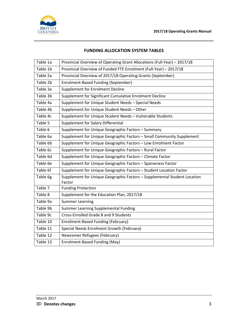

# **FUNDING ALLOCATION SYSTEM TABLES**

| Table 1a | Provincial Overview of Operating Grant Allocations (Full-Year) - 2017/18           |
|----------|------------------------------------------------------------------------------------|
| Table 1b | Provincial Overview of Funded FTE Enrolment (Full-Year) - 2017/18                  |
| Table 2a | Provincial Overview of 2017/18 Operating Grants (September)                        |
| Table 2b | Enrolment-Based Funding (September)                                                |
| Table 3a | <b>Supplement for Enrolment Decline</b>                                            |
| Table 3b | Supplement for Significant Cumulative Enrolment Decline                            |
| Table 4a | Supplement for Unique Student Needs - Special Needs                                |
| Table 4b | Supplement for Unique Student Needs - Other                                        |
| Table 4c | Supplement for Unique Student Needs - Vulnerable Students                          |
| Table 5  | Supplement for Salary Differential                                                 |
| Table 6  | Supplement for Unique Geographic Factors - Summary                                 |
| Table 6a | Supplement for Unique Geographic Factors - Small Community Supplement              |
| Table 6b | Supplement for Unique Geographic Factors - Low Enrolment Factor                    |
| Table 6c | Supplement for Unique Geographic Factors - Rural Factor                            |
| Table 6d | Supplement for Unique Geographic Factors - Climate Factor                          |
| Table 6e | Supplement for Unique Geographic Factors - Sparseness Factor                       |
| Table 6f | Supplement for Unique Geographic Factors - Student Location Factor                 |
| Table 6g | Supplement for Unique Geographic Factors - Supplemental Student Location<br>Factor |
| Table 7  | <b>Funding Protection</b>                                                          |
| Table 8  | Supplement for the Education Plan, 2017/18                                         |
| Table 9a | <b>Summer Learning</b>                                                             |
| Table 9b | Summer Learning Supplemental Funding                                               |
| Table 9c | Cross-Enrolled Grade 8 and 9 Students                                              |
| Table 10 | Enrolment-Based Funding (February)                                                 |
| Table 11 | Special Needs Enrolment Growth (February)                                          |
| Table 12 | Newcomer Refugees (February)                                                       |
| Table 13 | Enrolment-Based Funding (May)                                                      |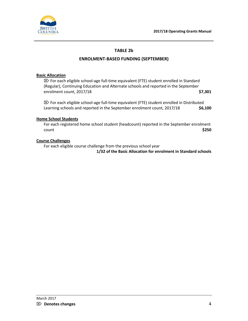



# **TABLE 2b**

#### **ENROLMENT-BASED FUNDING (SEPTEMBER)**

#### **Basic Allocation**

 $\mathbb{Z}$  For each eligible school-age full-time equivalent (FTE) student enrolled in Standard (Regular), Continuing Education and Alternate schools and reported in the September enrolment count, 2017/18 **\$7,301**

 $\mathbb{Z}$  For each eligible school-age full-time equivalent (FTE) student enrolled in Distributed Learning schools and reported in the September enrolment count, 2017/18 \$6,100

#### **Home School Students**

For each registered home school student (headcount) reported in the September enrolment count **\$250**

#### **Course Challenges**

For each eligible course challenge from the previous school year

**1/32 of the Basic Allocation for enrolment in Standard schools**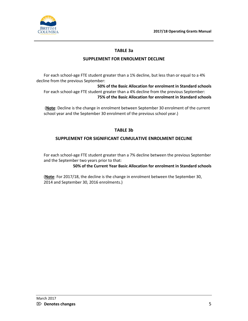

# **TABLE 3a**

# **SUPPLEMENT FOR ENROLMENT DECLINE**

For each school-age FTE student greater than a 1% decline, but less than or equal to a 4% decline from the previous September:

**50% of the Basic Allocation for enrolment in Standard schools** For each school-age FTE student greater than a 4% decline from the previous September: **75% of the Basic Allocation for enrolment in Standard schools**

(**Note**: Decline is the change in enrolment between September 30 enrolment of the current school year and the September 30 enrolment of the previous school year.)

# **TABLE 3b**

# **SUPPLEMENT FOR SIGNIFICANT CUMULATIVE ENROLMENT DECLINE**

For each school-age FTE student greater than a 7% decline between the previous September and the September two years prior to that:

**50% of the Current Year Basic Allocation for enrolment in Standard schools**

(**Note**: For 2017/18, the decline is the change in enrolment between the September 30, 2014 and September 30, 2016 enrolments.)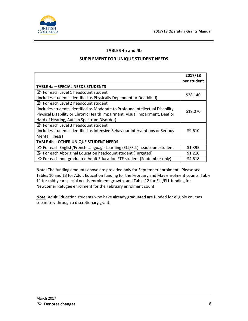

# **TABLES 4a and 4b**

#### **SUPPLEMENT FOR UNIQUE STUDENT NEEDS**

|                                                                                    | 2017/18     |
|------------------------------------------------------------------------------------|-------------|
|                                                                                    | per student |
| <b>TABLE 4a - SPECIAL NEEDS STUDENTS</b>                                           |             |
| $\boxtimes$ For each Level 1 headcount student                                     | \$38,140    |
| (includes students identified as Physically Dependent or Deafblind)                |             |
| $\boxtimes$ For each Level 2 headcount student                                     |             |
| (includes students identified as Moderate to Profound Intellectual Disability,     | \$19,070    |
| Physical Disability or Chronic Health Impairment, Visual Impairment, Deaf or       |             |
| Hard of Hearing, Autism Spectrum Disorder)                                         |             |
| $\boxtimes$ For each Level 3 headcount student                                     |             |
| (includes students identified as Intensive Behaviour Interventions or Serious      | \$9,610     |
| Mental Illness)                                                                    |             |
| <b>TABLE 4b - OTHER UNIQUE STUDENT NEEDS</b>                                       |             |
| $\mathbb{Z}$ For each English/French Language Learning (ELL/FLL) headcount student | \$1,395     |
| $\boxtimes$ For each Aboriginal Education headcount student (Targeted)             | \$1,210     |
| $\boxtimes$ For each non-graduated Adult Education FTE student (September only)    | \$4,618     |

**Note**: The funding amounts above are provided only for September enrolment. Please see Tables 10 and 13 for Adult Education funding for the February and May enrolment counts, Table 11 for mid-year special needs enrolment growth, and Table 12 for ELL/FLL funding for Newcomer Refugee enrolment for the February enrolment count.

**Note**: Adult Education students who have already graduated are funded for eligible courses separately through a discretionary grant.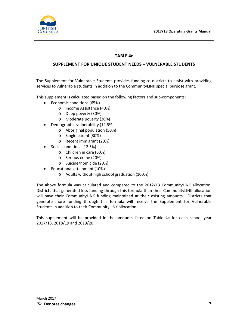

# **TABLE 4c**

# **SUPPLEMENT FOR UNIQUE STUDENT NEEDS – VULNERABLE STUDENTS**

The Supplement for Vulnerable Students provides funding to districts to assist with providing services to vulnerable students in addition to the CommunityLINK special purpose grant.

This supplement is calculated based on the following factors and sub-components:

- Economic conditions (65%)
	- o Income Assistance (40%)
	- o Deep poverty (30%)
	- o Moderate poverty (30%)
- Demographic vulnerability (12.5%)
	- o Aboriginal population (50%)
	- o Single parent (30%)
	- o Recent immigrant (20%)
- Social conditions (12.5%)
	- o Children in care (60%)
	- o Serious crime (20%)
	- o Suicide/homicide (20%)
- Educational attainment (10%)
	- o Adults without high school graduation (100%)

The above formula was calculated and compared to the 2012/13 CommunityLINK allocation. Districts that generated less funding through this formula than their CommunityLINK allocation will have their CommunityLINK funding maintained at their existing amounts. Districts that generate more funding through this formula will receive the Supplement for Vulnerable Students in addition to their CommunityLINK allocation.

This supplement will be provided in the amounts listed on Table 4c for each school year 2017/18, 2018/19 and 2019/20.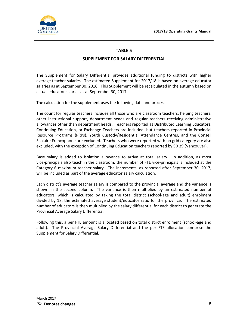

# **SUPPLEMENT FOR SALARY DIFFERENTIAL**

The Supplement for Salary Differential provides additional funding to districts with higher average teacher salaries. The estimated Supplement for 2017/18 is based on average educator salaries as at September 30, 2016. This Supplement will be recalculated in the autumn based on actual educator salaries as at September 30, 2017.

The calculation for the supplement uses the following data and process:

The count for regular teachers includes all those who are classroom teachers, helping teachers, other instructional support, department heads and regular teachers receiving administrative allowances other than department heads. Teachers reported as Distributed Learning Educators, Continuing Education, or Exchange Teachers are included, but teachers reported in Provincial Resource Programs (PRPs), Youth Custody/Residential Attendance Centres, and the Conseil Scolaire Francophone are excluded. Teachers who were reported with no grid category are also excluded, with the exception of Continuing Education teachers reported by SD 39 (Vancouver).

Base salary is added to isolation allowance to arrive at total salary. In addition, as most vice-principals also teach in the classroom, the number of FTE vice-principals is included at the Category 6 maximum teacher salary. The increments, as reported after September 30, 2017, will be included as part of the average educator salary calculation.

Each district's average teacher salary is compared to the provincial average and the variance is shown in the second column. The variance is then multiplied by an estimated number of educators, which is calculated by taking the total district (school-age and adult) enrolment divided by 18, the estimated average student/educator ratio for the province. The estimated number of educators is then multiplied by the salary differential for each district to generate the Provincial Average Salary Differential.

Following this, a per FTE amount is allocated based on total district enrolment (school-age and adult). The Provincial Average Salary Differential and the per FTE allocation comprise the Supplement for Salary Differential.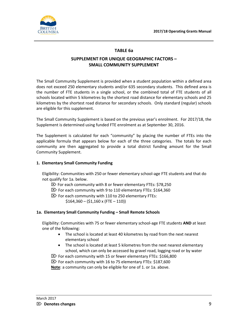

# **TABLE 6a**

# **SUPPLEMENT FOR UNIQUE GEOGRAPHIC FACTORS – SMALL COMMUNITY SUPPLEMENT**

The Small Community Supplement is provided when a student population within a defined area does not exceed 250 elementary students and/or 635 secondary students. This defined area is the number of FTE students in a single school, or the combined total of FTE students of all schools located within 5 kilometres by the shortest road distance for elementary schools and 25 kilometres by the shortest road distance for secondary schools. Only standard (regular) schools are eligible for this supplement.

The Small Community Supplement is based on the previous year's enrolment. For 2017/18, the Supplement is determined using funded FTE enrolment as at September 30, 2016.

The Supplement is calculated for each "community" by placing the number of FTEs into the applicable formula that appears below for each of the three categories. The totals for each community are then aggregated to provide a total district funding amount for the Small Community Supplement.

#### **1. Elementary Small Community Funding**

Eligibility: Communities with 250 or fewer elementary school-age FTE students and that do not qualify for 1a. below.

- $\boxtimes$  For each community with 8 or fewer elementary FTEs: \$78,250
- $\boxtimes$  For each community with 9 to 110 elementary FTEs: \$164,360
- $\mathbb{Z}$  For each community with 110 to 250 elementary FTEs:  $$164,360 - ($1,160 x (FTE - 110))$

#### **1a. Elementary Small Community Funding – Small Remote Schools**

Eligibility: Communities with 75 or fewer elementary school-age FTE students **AND** at least one of the following:

- The school is located at least 40 kilometres by road from the next nearest elementary school
- The school is located at least 5 kilometres from the next nearest elementary school, which can only be accessed by gravel road, logging road or by water
- $\boxtimes$  For each community with 15 or fewer elementary FTEs: \$166,800
- $\boxtimes$  For each community with 16 to 75 elementary FTEs: \$187,600

**Note**: a community can only be eligible for one of 1. or 1a. above.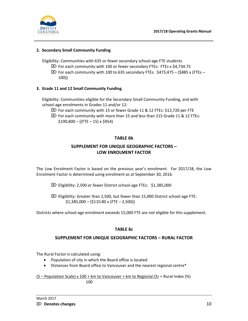

#### **2. Secondary Small Community Funding**

Eligibility: Communities with 635 or fewer secondary school-age FTE students

- $\boxtimes$  For each community with 100 or fewer secondary FTEs: FTEs x \$4,734.75
- $\boxtimes$  For each community with 100 to 635 secondary FTEs: \$473,475 (\$885 x (FTEs 100))

#### **3. Grade 11 and 12 Small Community Funding**

Eligibility: Communities eligible for the Secondary Small Community Funding, and with school-age enrolments in Grades 11 and/or 12:

- $\boxtimes$  For each community with 15 or fewer Grade 11 & 12 FTEs: \$12,720 per FTE
- $\mathbb{Z}$  For each community with more than 15 and less than 215 Grade 11 & 12 FTEs:  $$190,800 - (($ FTE - 15) x \$954)

# **TABLE 6b**

# **SUPPLEMENT FOR UNIQUE GEOGRAPHIC FACTORS – LOW ENROLMENT FACTOR**

The Low Enrolment Factor is based on the previous year's enrolment. For 2017/18, the Low Enrolment Factor is determined using enrolment as at September 30, 2016.

 $\boxtimes$  Eligibility: 2,500 or fewer District school-age FTEs: \$1,385,000

 $\boxtimes$  Eligibility: Greater than 2,500, but fewer than 15,000 District school-age FTE:  $$1,385,000 - ($110.80 x (FTE - 2,500))$ 

Districts where school-age enrolment exceeds 15,000 FTE are not eligible for this supplement.

# **TABLE 6c**

#### **SUPPLEMENT FOR UNIQUE GEOGRAPHIC FACTORS – RURAL FACTOR**

The Rural Factor is calculated using:

- Population of city in which the Board office is located
- Distances from Board office to Vancouver and the nearest regional centre\*

(5 – Population Scale) x 100 + km to Vancouver + km to Regional Ctr = Rural Index (%) **100**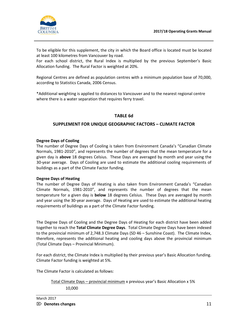

To be eligible for this supplement, the city in which the Board office is located must be located at least 100 kilometres from Vancouver by road.

For each school district, the Rural Index is multiplied by the previous September's Basic Allocation funding. The Rural Factor is weighted at 20%.

Regional Centres are defined as population centres with a minimum population base of 70,000, according to Statistics Canada, 2006 Census.

\*Additional weighting is applied to distances to Vancouver and to the nearest regional centre where there is a water separation that requires ferry travel.

# **TABLE 6d**

#### **SUPPLEMENT FOR UNIQUE GEOGRAPHIC FACTORS – CLIMATE FACTOR**

#### **Degree Days of Cooling**

The number of Degree Days of Cooling is taken from Environment Canada's "Canadian Climate Normals, 1981-2010", and represents the number of degrees that the mean temperature for a given day is **above** 18 degrees Celsius. These Days are averaged by month and year using the 30-year average. Days of Cooling are used to estimate the additional cooling requirements of buildings as a part of the Climate Factor funding.

#### **Degree Days of Heating**

The number of Degree Days of Heating is also taken from Environment Canada's "Canadian Climate Normals, 1981-2010", and represents the number of degrees that the mean temperature for a given day is **below** 18 degrees Celsius. These Days are averaged by month and year using the 30-year average. Days of Heating are used to estimate the additional heating requirements of buildings as a part of the Climate Factor funding.

The Degree Days of Cooling and the Degree Days of Heating for each district have been added together to reach the **Total Climate Degree Days**. Total Climate Degree Days have been indexed to the provincial minimum of 2,748.3 Climate Days (SD 46 – Sunshine Coast). The Climate Index, therefore, represents the additional heating and cooling days above the provincial minimum (Total Climate Days – Provincial Minimum).

For each district, the Climate Index is multiplied by their previous year's Basic Allocation funding. Climate Factor funding is weighted at 5%.

The Climate Factor is calculated as follows:

Total Climate Days – provincial minimum x previous year's Basic Allocation x 5% 10,000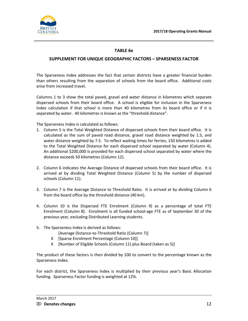

# **TABLE 6e**

#### **SUPPLEMENT FOR UNIQUE GEOGRAPHIC FACTORS – SPARSENESS FACTOR**

The Sparseness Index addresses the fact that certain districts have a greater financial burden than others resulting from the separation of schools from the board office. Additional costs arise from increased travel.

Columns 1 to 3 show the total paved, gravel and water distance in kilometres which separate dispersed schools from their board office. A school is eligible for inclusion in the Sparseness Index calculation if that school is more than 40 kilometres from its board office or if it is separated by water. 40 kilometres is known as the "threshold distance".

The Sparseness Index is calculated as follows:

- 1. Column 5 is the Total Weighted Distance of dispersed schools from their board office. It is calculated as the sum of paved road distance, gravel road distance weighted by 1.5, and water distance weighted by 7.5. To reflect waiting times for ferries, 150 kilometres is added to the Total Weighted Distance for each dispersed school separated by water (Column 4). An additional \$200,000 is provided for each dispersed school separated by water where the distance exceeds 50 kilometres (Column 12).
- 2. Column 6 indicates the Average Distance of dispersed schools from their board office. It is arrived at by dividing Total Weighted Distance (Column 5) by the number of dispersed schools (Column 11).
- 3. Column 7 is the Average Distance to Threshold Ratio. It is arrived at by dividing Column 6 from the board office by the threshold distance (40 km).
- 4. Column 10 is the Dispersed FTE Enrolment (Column 9) as a percentage of total FTE Enrolment (Column 8). Enrolment is all funded school-age FTE as of September 30 of the previous year, excluding Distributed Learning students.
- 5. The Sparseness Index is derived as follows:
	- [Average Distance-to-Threshold Ratio (Column 7)]
	- X [Sparse Enrolment Percentage (Column 10)]
	- X [Number of Eligible Schools (Column 11) plus Board (taken as 5)]

The product of these factors is then divided by 100 to convert to the percentage known as the Sparseness Index.

For each district, the Sparseness Index is multiplied by their previous year's Basic Allocation funding. Sparseness Factor funding is weighted at 12%.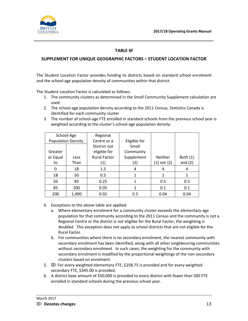

# **TABLE 6f**

# **SUPPLEMENT FOR UNIQUE GEOGRAPHIC FACTORS – STUDENT LOCATION FACTOR**

The Student Location Factor provides funding to districts based on standard school enrolment and the school-age population density of communities within that district.

The Student Location Factor is calculated as follows:

- 1. The community clusters as determined in the Small Community Supplement calculation are used
- 2. The school-age population density according to the 2011 Census, Statistics Canada is identified for each community cluster
- 3. The number of school-age FTE enrolled in standard schools from the previous school year is weighted according to the cluster's school-age population density:

|                           | School-Age | Regional            |              |                 |            |
|---------------------------|------------|---------------------|--------------|-----------------|------------|
| <b>Population Density</b> |            | Centre or a         | Eligible for |                 |            |
|                           |            | District not        | Small        |                 |            |
| Greater                   |            | eligible for        | Community    |                 |            |
| or Equal                  | Less       | <b>Rural Factor</b> | Supplement   | Neither         | Both $(1)$ |
| to                        | Than       | (1)                 | (2)          | $(1)$ nor $(2)$ | and $(2)$  |
| 0                         | 18         | 1.5                 | 4            | 4               | 4          |
| 18                        | 50         | 0.5                 | 1            | 1               |            |
| 50                        | 85         | 0.25                | 1            | 0.5             | 0.5        |
| 85                        | 200        | 0.05                | 1            | 0.1             | 0.1        |
| 200                       | 1,000      | 0.02                | 0.5          | 0.04            | 0.04       |

- 4. Exceptions to the above table are applied:
	- a. Where elementary enrolment for a community cluster exceeds the elementary-age population for that community according to the 2011 Census and the community is not a Regional Centre or the district is not eligible for the Rural Factor, the weighting is doubled. This exception does not apply to school districts that are not eligible for the Rural Factor.
	- b. For communities where there is no secondary enrolment, the nearest community with secondary enrolment has been identified, along with all other neighbouring communities without secondary enrolment. In such cases, the weighting for the community with secondary enrolment is modified by the proportional weightings of the non-secondary clusters based on enrolment.
- 5.  $\boxtimes$  For every weighted elementary FTE, \$258.75 is provided and for every weighted secondary FTE, \$345.00 is provided.
- 6. A district base amount of \$50,000 is provided to every district with fewer than 500 FTE enrolled in standard schools during the previous school year.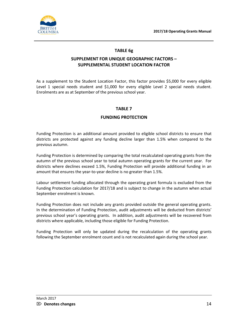

# **TABLE 6g**

# **SUPPLEMENT FOR UNIQUE GEOGRAPHIC FACTORS – SUPPLEMENTAL STUDENT LOCATION FACTOR**

As a supplement to the Student Location Factor, this factor provides \$5,000 for every eligible Level 1 special needs student and \$1,000 for every eligible Level 2 special needs student. Enrolments are as at September of the previous school year.

# **TABLE 7**

# **FUNDING PROTECTION**

Funding Protection is an additional amount provided to eligible school districts to ensure that districts are protected against any funding decline larger than 1.5% when compared to the previous autumn.

Funding Protection is determined by comparing the total recalculated operating grants from the autumn of the previous school year to total autumn operating grants for the current year. For districts where declines exceed 1.5%, Funding Protection will provide additional funding in an amount that ensures the year-to-year decline is no greater than 1.5%.

Labour settlement funding allocated through the operating grant formula is excluded from the Funding Protection calculation for 2017/18 and is subject to change in the autumn when actual September enrolment is known.

Funding Protection does not include any grants provided outside the general operating grants. In the determination of Funding Protection, audit adjustments will be deducted from districts' previous school year's operating grants. In addition, audit adjustments will be recovered from districts where applicable, including those eligible for Funding Protection.

Funding Protection will only be updated during the recalculation of the operating grants following the September enrolment count and is not recalculated again during the school year.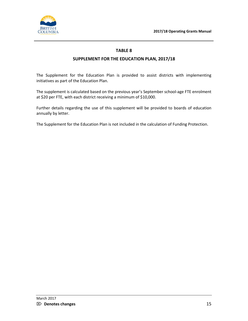

# **SUPPLEMENT FOR THE EDUCATION PLAN, 2017/18**

The Supplement for the Education Plan is provided to assist districts with implementing initiatives as part of the Education Plan.

The supplement is calculated based on the previous year's September school-age FTE enrolment at \$20 per FTE, with each district receiving a minimum of \$10,000.

Further details regarding the use of this supplement will be provided to boards of education annually by letter.

The Supplement for the Education Plan is not included in the calculation of Funding Protection.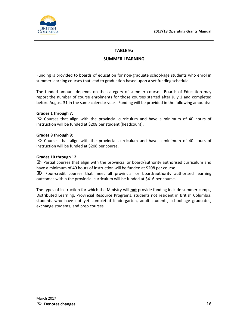

# **TABLE 9a**

# **SUMMER LEARNING**

Funding is provided to boards of education for non-graduate school-age students who enrol in summer learning courses that lead to graduation based upon a set funding schedule.

The funded amount depends on the category of summer course. Boards of Education may report the number of course enrolments for those courses started after July 1 and completed before August 31 in the same calendar year. Funding will be provided in the following amounts:

#### **Grades 1 through 7**:

 $\mathbb{Z}$  Courses that align with the provincial curriculum and have a minimum of 40 hours of instruction will be funded at \$208 per student (headcount).

#### **Grades 8 through 9**:

 $\mathbb{Z}$  Courses that align with the provincial curriculum and have a minimum of 40 hours of instruction will be funded at \$208 per course.

#### **Grades 10 through 12**:

 $\boxtimes$  Partial courses that align with the provincial or board/authority authorised curriculum and have a minimum of 40 hours of instruction will be funded at \$208 per course.

 $\boxtimes$  Four-credit courses that meet all provincial or board/authority authorised learning outcomes within the provincial curriculum will be funded at \$416 per course.

The types of instruction for which the Ministry will **not** provide funding include summer camps, Distributed Learning, Provincial Resource Programs, students not resident in British Columbia, students who have not yet completed Kindergarten, adult students, school-age graduates, exchange students, and prep courses.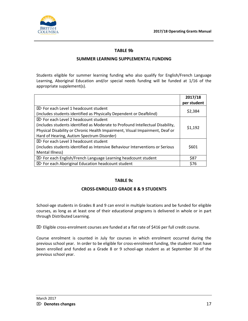

# **TABLE 9b**

# **SUMMER LEARNING SUPPLEMENTAL FUNDING**

Students eligible for summer learning funding who also qualify for English/French Language Learning, Aboriginal Education and/or special needs funding will be funded at 1/16 of the appropriate supplement(s).

|                                                                                                                                                                                                              | 2017/18<br>per student |
|--------------------------------------------------------------------------------------------------------------------------------------------------------------------------------------------------------------|------------------------|
| $\boxtimes$ For each Level 1 headcount student<br>(includes students identified as Physically Dependent or Deafblind)                                                                                        | \$2,384                |
| $\boxtimes$ For each Level 2 headcount student                                                                                                                                                               |                        |
| (includes students identified as Moderate to Profound Intellectual Disability,<br>Physical Disability or Chronic Health Impairment, Visual Impairment, Deaf or<br>Hard of Hearing, Autism Spectrum Disorder) | \$1,192                |
| $\boxtimes$ For each Level 3 headcount student<br>(includes students identified as Intensive Behaviour Interventions or Serious<br>Mental Illness)                                                           | \$601                  |
| $\boxtimes$ For each English/French Language Learning headcount student                                                                                                                                      | \$87                   |
| $\mathbb{Z}$ For each Aboriginal Education headcount student                                                                                                                                                 | \$76                   |

#### **TABLE 9c**

#### **CROSS-ENROLLED GRADE 8 & 9 STUDENTS**

School-age students in Grades 8 and 9 can enrol in multiple locations and be funded for eligible courses, as long as at least one of their educational programs is delivered in whole or in part through Distributed Learning.

 $\boxtimes$  Eligible cross-enrolment courses are funded at a flat rate of \$416 per full credit course.

Course enrolment is counted in July for courses in which enrolment occurred during the previous school year. In order to be eligible for cross-enrolment funding, the student must have been enrolled and funded as a Grade 8 or 9 school-age student as at September 30 of the previous school year.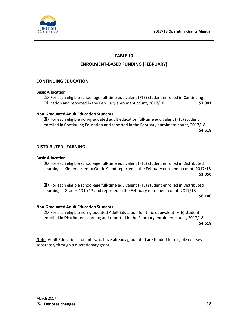

# **ENROLMENT-BASED FUNDING (FEBRUARY)**

# **CONTINUING EDUCATION**

#### **Basic Allocation**

 $\boxtimes$  For each eligible school-age full-time equivalent (FTE) student enrolled in Continuing Education and reported in the February enrolment count, 2017/18 **\$7,301**

#### **Non-Graduated Adult Education Students**

 $\boxtimes$  For each eligible non-graduated adult education full-time equivalent (FTE) student enrolled in Continuing Education and reported in the February enrolment count, 2017/18 **\$4,618**

#### **DISTRIBUTED LEARNING**

#### **Basic Allocation**

 $\mathbb{Z}$  For each eligible school-age full-time equivalent (FTE) student enrolled in Distributed Learning in Kindergarten to Grade 9 and reported in the February enrolment count, 2017/18 **\$3,050**

 $\boxtimes$  For each eligible school-age full-time equivalent (FTE) student enrolled in Distributed Learning in Grades 10 to 12 and reported in the February enrolment count, 2017/18

**\$6,100**

#### **Non-Graduated Adult Education Students**

 $\boxtimes$  For each eligible non-graduated Adult Education full-time equivalent (FTE) student enrolled in Distributed Learning and reported in the February enrolment count, 2017/18 **\$4,618**

**Note**: Adult Education students who have already graduated are funded for eligible courses separately through a discretionary grant.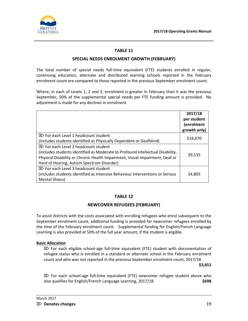

#### **SPECIAL NEEDS ENROLMENT GROWTH (FEBRUARY)**

The total number of special needs full-time equivalent (FTE) students enrolled in regular, continuing education, alternate and distributed learning schools reported in the February enrolment count are compared to those reported in the previous September enrolment count.

Where, in each of Levels 1, 2 and 3, enrolment is greater in February than it was the previous September, 50% of the supplemental special needs per FTE funding amount is provided. No adjustment is made for any declines in enrolment.

|                                                                                                                                  | 2017/18<br>per student<br>(enrolment<br>growth only) |
|----------------------------------------------------------------------------------------------------------------------------------|------------------------------------------------------|
| $\boxtimes$ For each Level 1 headcount student                                                                                   | \$19,070                                             |
| (includes students identified as Physically Dependent or Deafblind)                                                              |                                                      |
| $\boxtimes$ For each Level 2 headcount student<br>(includes students identified as Moderate to Profound Intellectual Disability, |                                                      |
| Physical Disability or Chronic Health Impairment, Visual Impairment, Deaf or<br>Hard of Hearing, Autism Spectrum Disorder)       | \$9,535                                              |
| $\boxtimes$ For each Level 3 headcount student                                                                                   |                                                      |
|                                                                                                                                  |                                                      |
| (includes students identified as Intensive Behaviour Interventions or Serious<br>Mental Illness)                                 | \$4,805                                              |

#### **TABLE 12**

#### **NEWCOMER REFUGEES (FEBRUARY)**

To assist districts with the costs associated with enrolling refugees who enrol subsequent to the September enrolment count, additional funding is provided for newcomer refugees enrolled by the time of the February enrolment count. Supplemental funding for English/French Language Learning is also provided at 50% of the full year amount, if the student is eligible.

#### **Basic Allocation**

 $\mathbb{Z}$  For each eligible school-age full-time equivalent (FTE) student with documentation of refugee status who is enrolled in a standard or alternate school in the February enrolment count and who was not reported in the previous September enrolment count, 2017/18

**\$3,651**

 $\mathbb{Z}$  For each school-age full-time equivalent (FTE) newcomer refugee student above who also qualifies for English/French Language Learning, 2017/18 **\$698**